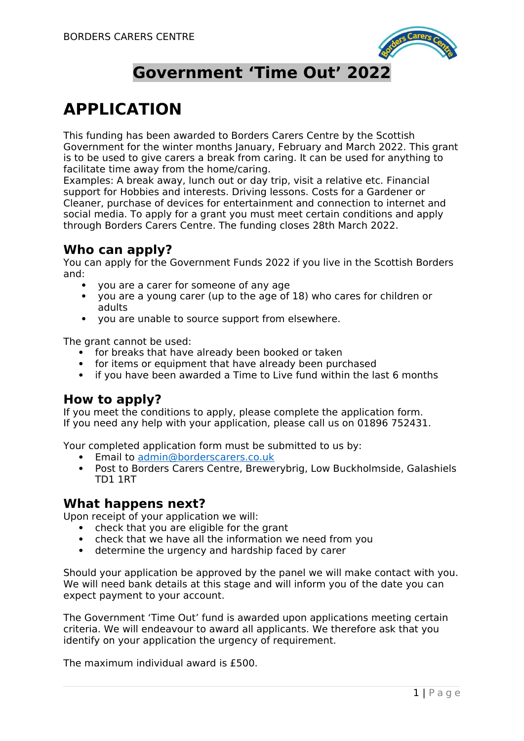

## **Government 'Time Out' 2022**

# **APPLICATION**

This funding has been awarded to Borders Carers Centre by the Scottish Government for the winter months January, February and March 2022. This grant is to be used to give carers a break from caring. It can be used for anything to facilitate time away from the home/caring.

Examples: A break away, lunch out or day trip, visit a relative etc. Financial support for Hobbies and interests. Driving lessons. Costs for a Gardener or Cleaner, purchase of devices for entertainment and connection to internet and social media. To apply for a grant you must meet certain conditions and apply through Borders Carers Centre. The funding closes 28th March 2022.

#### **Who can apply?**

You can apply for the Government Funds 2022 if you live in the Scottish Borders and:

- you are a carer for someone of any age
- you are a young carer (up to the age of 18) who cares for children or adults
- vou are unable to source support from elsewhere.

The grant cannot be used:

- for breaks that have already been booked or taken
- for items or equipment that have already been purchased
- if you have been awarded a Time to Live fund within the last 6 months

### **How to apply?**

If you meet the conditions to apply, please complete the application form. If you need any help with your application, please call us on 01896 752431.

Your completed application form must be submitted to us by:

- **•** Email to [admin@borderscarers.co.uk](mailto:admin@borderscarers.co.uk)<br>• Post to Borders Carers Centre Brewe
- Post to Borders Carers Centre, Brewerybrig, Low Buckholmside, Galashiels TD1 1RT

#### **What happens next?**

Upon receipt of your application we will:

- check that you are eligible for the grant
- check that we have all the information we need from you
- determine the urgency and hardship faced by carer

Should your application be approved by the panel we will make contact with you. We will need bank details at this stage and will inform you of the date you can expect payment to your account.

The Government 'Time Out' fund is awarded upon applications meeting certain criteria. We will endeavour to award all applicants. We therefore ask that you identify on your application the urgency of requirement.

The maximum individual award is £500.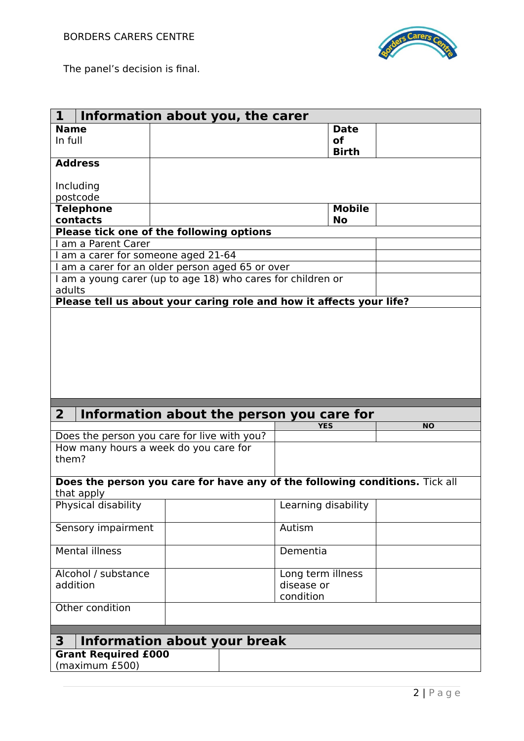

The panel's decision is final.

| $\mathbf{1}$                                     | Information about you, the carer                                            |                     |           |  |  |
|--------------------------------------------------|-----------------------------------------------------------------------------|---------------------|-----------|--|--|
| <b>Name</b>                                      |                                                                             | <b>Date</b>         |           |  |  |
| In full                                          |                                                                             | <b>of</b>           |           |  |  |
|                                                  |                                                                             | <b>Birth</b>        |           |  |  |
| <b>Address</b>                                   |                                                                             |                     |           |  |  |
|                                                  |                                                                             |                     |           |  |  |
| Including                                        |                                                                             |                     |           |  |  |
| postcode                                         |                                                                             |                     |           |  |  |
| <b>Telephone</b>                                 |                                                                             | <b>Mobile</b>       |           |  |  |
| contacts                                         |                                                                             | <b>No</b>           |           |  |  |
|                                                  | Please tick one of the following options                                    |                     |           |  |  |
| I am a Parent Carer                              |                                                                             |                     |           |  |  |
| I am a carer for someone aged 21-64              |                                                                             |                     |           |  |  |
| I am a carer for an older person aged 65 or over |                                                                             |                     |           |  |  |
|                                                  | I am a young carer (up to age 18) who cares for children or                 |                     |           |  |  |
| adults                                           |                                                                             |                     |           |  |  |
|                                                  | Please tell us about your caring role and how it affects your life?         |                     |           |  |  |
|                                                  |                                                                             |                     |           |  |  |
|                                                  |                                                                             |                     |           |  |  |
|                                                  |                                                                             |                     |           |  |  |
|                                                  |                                                                             |                     |           |  |  |
|                                                  |                                                                             |                     |           |  |  |
|                                                  |                                                                             |                     |           |  |  |
|                                                  |                                                                             |                     |           |  |  |
|                                                  |                                                                             |                     |           |  |  |
|                                                  |                                                                             |                     |           |  |  |
|                                                  |                                                                             |                     |           |  |  |
| 2 <sup>1</sup>                                   | Information about the person you care for                                   |                     |           |  |  |
|                                                  |                                                                             | <b>YES</b>          | <b>NO</b> |  |  |
|                                                  | Does the person you care for live with you?                                 |                     |           |  |  |
|                                                  | How many hours a week do you care for                                       |                     |           |  |  |
| them?                                            |                                                                             |                     |           |  |  |
|                                                  |                                                                             |                     |           |  |  |
|                                                  | Does the person you care for have any of the following conditions. Tick all |                     |           |  |  |
| that apply                                       |                                                                             |                     |           |  |  |
| Physical disability                              |                                                                             | Learning disability |           |  |  |
|                                                  |                                                                             |                     |           |  |  |
| Sensory impairment                               |                                                                             | Autism              |           |  |  |
|                                                  |                                                                             |                     |           |  |  |
| <b>Mental illness</b>                            |                                                                             | Dementia            |           |  |  |
|                                                  |                                                                             |                     |           |  |  |
| Alcohol / substance                              |                                                                             | Long term illness   |           |  |  |
| addition                                         |                                                                             | disease or          |           |  |  |
|                                                  |                                                                             | condition           |           |  |  |
|                                                  |                                                                             |                     |           |  |  |
| Other condition                                  |                                                                             |                     |           |  |  |
|                                                  |                                                                             |                     |           |  |  |
| $\mathbf{3}$                                     |                                                                             |                     |           |  |  |
|                                                  | <b>Information about your break</b>                                         |                     |           |  |  |
| <b>Grant Required £000</b><br>(maximum £500)     |                                                                             |                     |           |  |  |